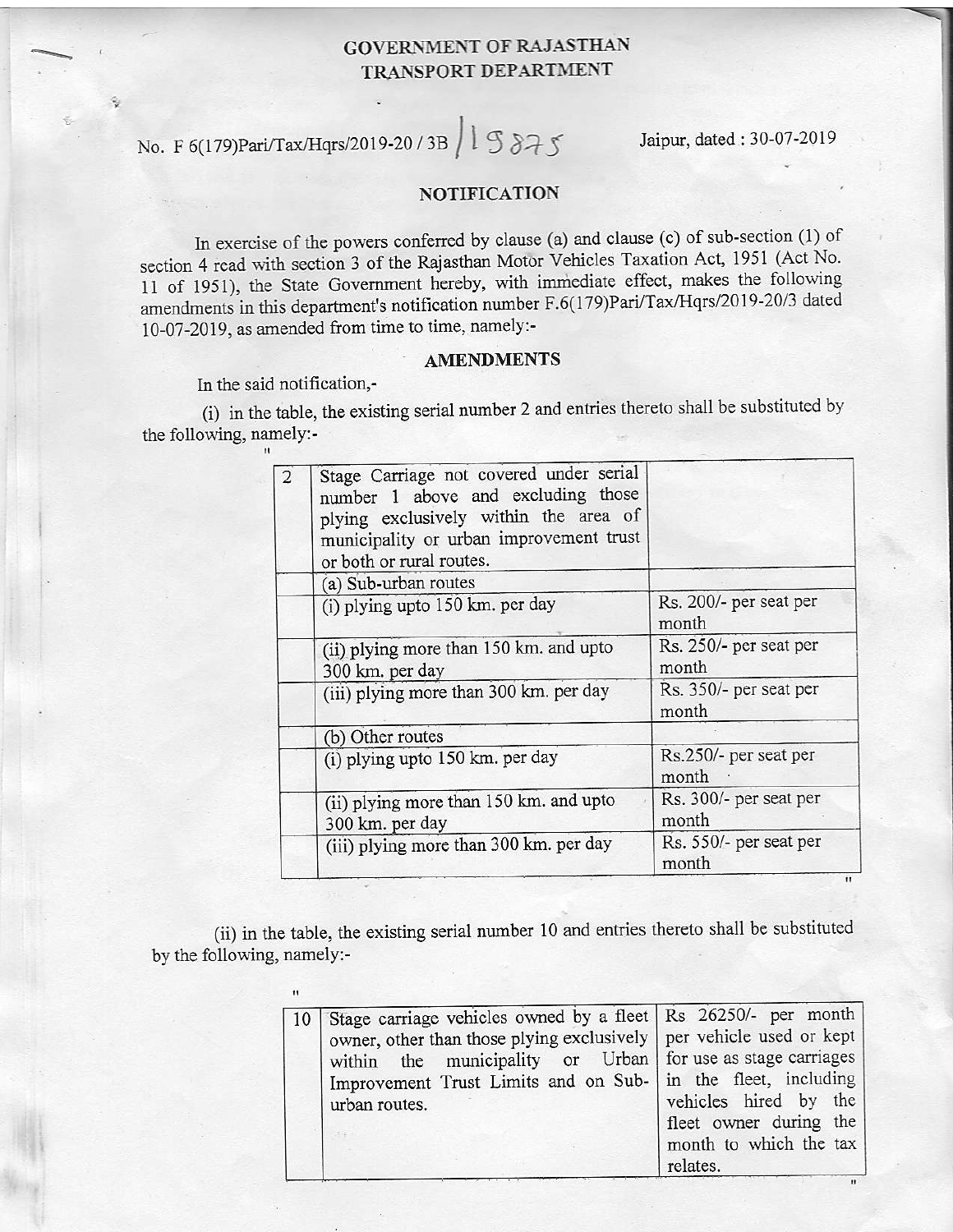## GOVERNMENT OF RAJASTHAN TRANSPORT DEPARTMENT

L No. F 6(179)Pari/Tax/Hqrs/2019-20 / 3B  $\left( \begin{array}{cc} 1 \text{ S} & 3 \rightarrow \text{ S} \\ 1 \text{ S} & 3 \rightarrow \text{ S} \end{array} \right)$  Jaipur, dated:30-07-2019

## NOTIFICATION

In exercise of the powers conferred by clause (a) and clause (c) of sub-section (1) of section 4 read with section 3 of the Rajasthan Motor Vehicles Taxation Act, 1951 (Act No. 11 of 1951), the State Government hereby, with immediate effect, makes the following amendments in this department's notification number F.6(179)Pari/Tax/Hqrs/2019-20/3 dated 10-07-2019, as amended from time to time, namely:-

## AMENDMENTS

In the said notification,-

(i) in the table, the existing serial number 2 and entries thereto shall be substituted by the following, namely:-

| Stage Carriage not covered under serial<br>number 1 above and excluding those<br>plying exclusively within the area of<br>municipality or urban improvement trust<br>or both or rural routes. |                                                                                                |
|-----------------------------------------------------------------------------------------------------------------------------------------------------------------------------------------------|------------------------------------------------------------------------------------------------|
|                                                                                                                                                                                               |                                                                                                |
|                                                                                                                                                                                               | Rs. 200/- per seat per<br>month                                                                |
| (ii) plying more than 150 km. and upto                                                                                                                                                        | Rs. 250/- per seat per<br>month                                                                |
| (iii) plying more than 300 km. per day                                                                                                                                                        | Rs. 350/- per seat per<br>month                                                                |
|                                                                                                                                                                                               |                                                                                                |
| (i) plying upto 150 km. per day                                                                                                                                                               | Rs.250/- per seat per<br>month                                                                 |
| (ii) plying more than 150 km. and upto<br>300 km. per day                                                                                                                                     | Rs. 300/- per seat per<br>month                                                                |
| (iii) plying more than 300 km. per day                                                                                                                                                        | Rs. 550/- per seat per<br>month<br>$\mathbf{H}$                                                |
|                                                                                                                                                                                               | (a) Sub-urban routes<br>(i) plying upto 150 km. per day<br>300 km. per day<br>(b) Other routes |

(ii) in the table, the existing serial number 10 and entries thereto shall be substituted by the following, namely:-

| 10 Stage carriage vehicles owned by a fleet Rs 26250/- per month<br>owner, other than those plying exclusively   per vehicle used or kept<br>within the municipality or Urban for use as stage carriages<br>Improvement Trust Limits and on Sub- in the fleet, including | vehicles hired by the                                        |
|--------------------------------------------------------------------------------------------------------------------------------------------------------------------------------------------------------------------------------------------------------------------------|--------------------------------------------------------------|
| urban routes.                                                                                                                                                                                                                                                            | fleet owner during the<br>month to which the tax<br>relates. |